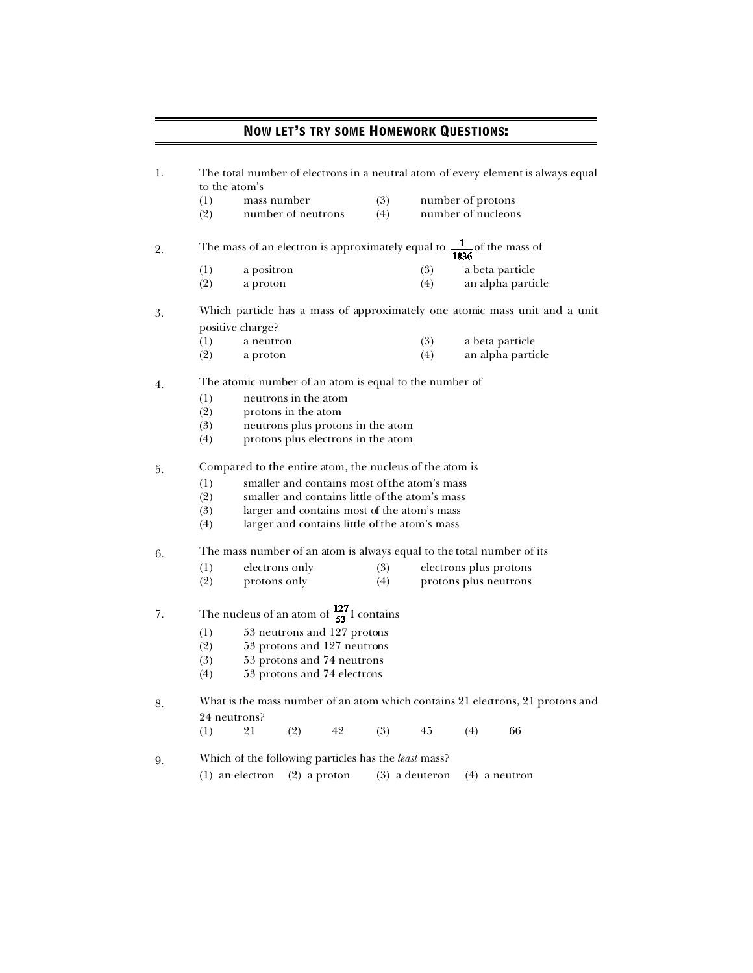## NOW LET'S TRY SOME HOMEWORK QUESTIONS:

| 1. | The total number of electrons in a neutral atom of every element is always equal<br>to the atom's |                                                |                                                      |        |     |                        |                    |                   |  |  |  |
|----|---------------------------------------------------------------------------------------------------|------------------------------------------------|------------------------------------------------------|--------|-----|------------------------|--------------------|-------------------|--|--|--|
|    | (1)                                                                                               | mass number                                    |                                                      |        | (3) | number of protons      |                    |                   |  |  |  |
|    | (2)                                                                                               |                                                | number of neutrons                                   |        | (4) |                        | number of nucleons |                   |  |  |  |
|    |                                                                                                   |                                                |                                                      |        |     |                        |                    |                   |  |  |  |
| 2. | The mass of an electron is approximately equal to $\frac{1}{1836}$ of the mass of                 |                                                |                                                      |        |     |                        |                    |                   |  |  |  |
|    | (1)                                                                                               | a positron                                     |                                                      |        |     | (3)                    |                    | a beta particle   |  |  |  |
|    | (2)                                                                                               | a proton                                       |                                                      |        |     | (4)                    |                    | an alpha particle |  |  |  |
| 3. | Which particle has a mass of approximately one atomic mass unit and a unit                        |                                                |                                                      |        |     |                        |                    |                   |  |  |  |
|    |                                                                                                   | positive charge?                               |                                                      |        |     |                        |                    |                   |  |  |  |
|    | (1)                                                                                               | a neutron                                      |                                                      |        |     | (3)                    |                    | a beta particle   |  |  |  |
|    | (2)                                                                                               | a proton                                       |                                                      |        |     | (4)                    |                    | an alpha particle |  |  |  |
| 4. | The atomic number of an atom is equal to the number of                                            |                                                |                                                      |        |     |                        |                    |                   |  |  |  |
|    | (1)                                                                                               | neutrons in the atom                           |                                                      |        |     |                        |                    |                   |  |  |  |
|    | (2)                                                                                               | protons in the atom                            |                                                      |        |     |                        |                    |                   |  |  |  |
|    | (3)                                                                                               | neutrons plus protons in the atom              |                                                      |        |     |                        |                    |                   |  |  |  |
|    | (4)<br>protons plus electrons in the atom                                                         |                                                |                                                      |        |     |                        |                    |                   |  |  |  |
| 5. | Compared to the entire atom, the nucleus of the atom is                                           |                                                |                                                      |        |     |                        |                    |                   |  |  |  |
|    | (1)                                                                                               | smaller and contains most of the atom's mass   |                                                      |        |     |                        |                    |                   |  |  |  |
|    | (2)                                                                                               | smaller and contains little of the atom's mass |                                                      |        |     |                        |                    |                   |  |  |  |
|    | (3)                                                                                               | larger and contains most of the atom's mass    |                                                      |        |     |                        |                    |                   |  |  |  |
|    | (4)                                                                                               | larger and contains little of the atom's mass  |                                                      |        |     |                        |                    |                   |  |  |  |
| 6. | The mass number of an atom is always equal to the total number of its                             |                                                |                                                      |        |     |                        |                    |                   |  |  |  |
|    | (1)                                                                                               | electrons only                                 |                                                      |        | (3) | electrons plus protons |                    |                   |  |  |  |
|    | (2)                                                                                               | protons only                                   |                                                      |        | (4) | protons plus neutrons  |                    |                   |  |  |  |
| 7. | The nucleus of an atom of $\frac{127}{53}$ I contains                                             |                                                |                                                      |        |     |                        |                    |                   |  |  |  |
|    | (1)                                                                                               | 53 neutrons and 127 protons                    |                                                      |        |     |                        |                    |                   |  |  |  |
|    | (2)                                                                                               | 53 protons and 127 neutrons                    |                                                      |        |     |                        |                    |                   |  |  |  |
|    | (3)                                                                                               | 53 protons and 74 neutrons                     |                                                      |        |     |                        |                    |                   |  |  |  |
|    | (4)<br>53 protons and 74 electrons                                                                |                                                |                                                      |        |     |                        |                    |                   |  |  |  |
| 8. | What is the mass number of an atom which contains 21 electrons, 21 protons and                    |                                                |                                                      |        |     |                        |                    |                   |  |  |  |
|    | 24 neutrons?                                                                                      |                                                |                                                      |        |     |                        |                    |                   |  |  |  |
|    | (1)                                                                                               | 21                                             | (2)                                                  | $42\,$ | (3) | 45                     | (4)                | 66                |  |  |  |
| 9. |                                                                                                   |                                                | Which of the following particles has the least mass? |        |     |                        |                    |                   |  |  |  |

(1) an electron (2) a proton (3) a deuteron (4) a neutron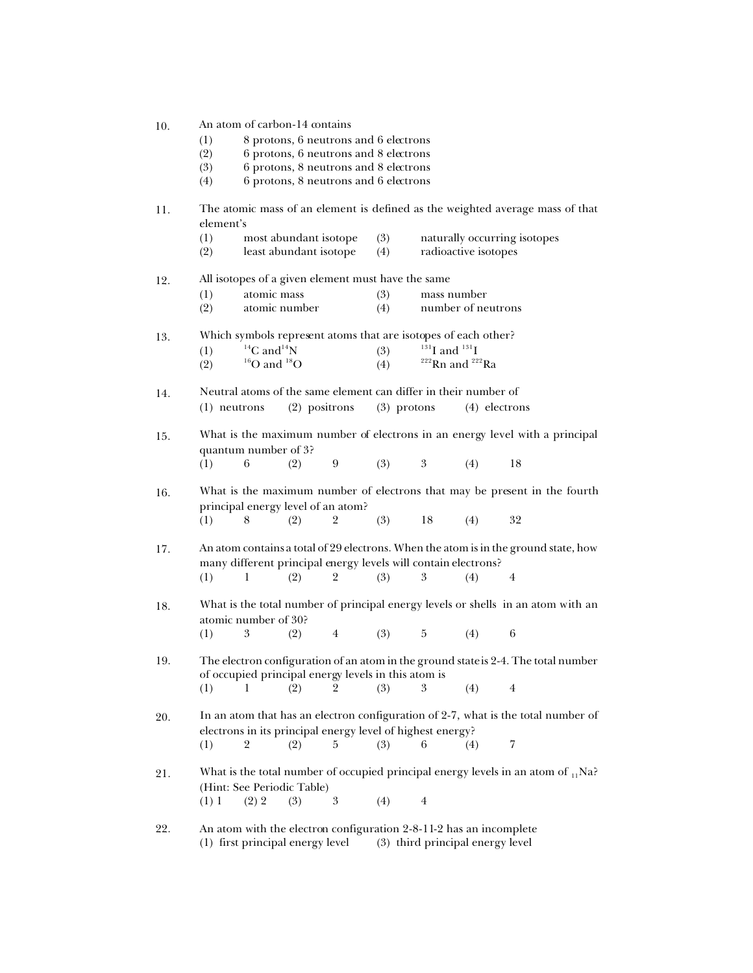- (1) 8 protons, 6 neutrons and 6 electrons
- (2) 6 protons, 6 neutrons and 8 electrons
- (3) 6 protons, 8 neutrons and 8 electrons
- (4) 6 protons, 8 neutrons and 6 electrons
- 11. The atomic mass of an element is defined as the weighted average mass of that element's

|     | (1)                                                                                                                                       | most abundant isotope                                                                                                                                 |     | (3)                                                                |                                | naturally occurring isotopes                      |             |                |  |  |  |
|-----|-------------------------------------------------------------------------------------------------------------------------------------------|-------------------------------------------------------------------------------------------------------------------------------------------------------|-----|--------------------------------------------------------------------|--------------------------------|---------------------------------------------------|-------------|----------------|--|--|--|
|     | (2)                                                                                                                                       | least abundant isotope                                                                                                                                |     |                                                                    | (4)                            | radioactive isotopes                              |             |                |  |  |  |
| 12. | All isotopes of a given element must have the same                                                                                        |                                                                                                                                                       |     |                                                                    |                                |                                                   |             |                |  |  |  |
|     | (1)                                                                                                                                       | atomic mass                                                                                                                                           |     |                                                                    | (3)                            |                                                   | mass number |                |  |  |  |
|     | (2)                                                                                                                                       | atomic number                                                                                                                                         |     |                                                                    | (4)                            | number of neutrons                                |             |                |  |  |  |
| 13. | Which symbols represent atoms that are isotopes of each other?                                                                            |                                                                                                                                                       |     |                                                                    |                                |                                                   |             |                |  |  |  |
|     | (1)                                                                                                                                       | ${}^{14}C$ and ${}^{14}N$                                                                                                                             |     |                                                                    | (3)                            | $^{131}$ I and $^{131}$ I                         |             |                |  |  |  |
|     | (2)                                                                                                                                       | ${}^{16}O$ and ${}^{18}O$                                                                                                                             |     |                                                                    | (4)                            | $222$ <sup>22</sup> Rn and $222$ <sup>22</sup> Ra |             |                |  |  |  |
| 14. | Neutral atoms of the same element can differ in their number of                                                                           |                                                                                                                                                       |     |                                                                    |                                |                                                   |             |                |  |  |  |
|     | (2) positrons<br>$(1)$ neutrons                                                                                                           |                                                                                                                                                       |     |                                                                    | $(3)$ protons<br>(4) electrons |                                                   |             |                |  |  |  |
| 15. |                                                                                                                                           | What is the maximum number of electrons in an energy level with a principal<br>quantum number of 3?                                                   |     |                                                                    |                                |                                                   |             |                |  |  |  |
|     | (1)                                                                                                                                       | 6                                                                                                                                                     | (2) | 9                                                                  | (3)                            | 3                                                 | (4)         | 18             |  |  |  |
| 16. |                                                                                                                                           | What is the maximum number of electrons that may be present in the fourth<br>principal energy level of an atom?                                       |     |                                                                    |                                |                                                   |             |                |  |  |  |
|     | (1)                                                                                                                                       | 8                                                                                                                                                     | (2) | 2                                                                  | (3)                            | 18                                                | (4)         | 32             |  |  |  |
| 17. |                                                                                                                                           | An atom contains a total of 29 electrons. When the atom is in the ground state, how<br>many different principal energy levels will contain electrons? |     |                                                                    |                                |                                                   |             |                |  |  |  |
|     | (1)                                                                                                                                       | 1                                                                                                                                                     | (2) | 2                                                                  | (3)                            | 3                                                 | (4)         | 4              |  |  |  |
| 18. |                                                                                                                                           | What is the total number of principal energy levels or shells in an atom with an<br>atomic number of 30?                                              |     |                                                                    |                                |                                                   |             |                |  |  |  |
|     | (1)                                                                                                                                       | 3                                                                                                                                                     | (2) | $\overline{4}$                                                     | (3)                            | 5                                                 | (4)         | 6              |  |  |  |
| 19. | The electron configuration of an atom in the ground state is 2-4. The total number<br>of occupied principal energy levels in this atom is |                                                                                                                                                       |     |                                                                    |                                |                                                   |             |                |  |  |  |
|     | (1)                                                                                                                                       | 1                                                                                                                                                     | (2) | 9                                                                  | (3)                            | 3                                                 | (4)         | $\overline{4}$ |  |  |  |
| 20. |                                                                                                                                           | In an atom that has an electron configuration of 2-7, what is the total number of<br>electrons in its principal energy level of highest energy?       |     |                                                                    |                                |                                                   |             |                |  |  |  |
|     | (1)                                                                                                                                       | 2                                                                                                                                                     | (2) | 5                                                                  | (3)                            | 6                                                 | (4)         | 7              |  |  |  |
| 21. | What is the total number of occupied principal energy levels in an atom of $_{11}$ Na?<br>(Hint: See Periodic Table)                      |                                                                                                                                                       |     |                                                                    |                                |                                                   |             |                |  |  |  |
|     | (1) 1                                                                                                                                     | (2) 2                                                                                                                                                 | (3) | 3                                                                  | (4)                            | 4                                                 |             |                |  |  |  |
| 99  |                                                                                                                                           |                                                                                                                                                       |     | An atom with the electron configuration 2-8-11-2 has an incomplete |                                |                                                   |             |                |  |  |  |

An atom with the electron configuration 2-8-11-2 has an incomplete (1) first principal energy level (3) third principal energy level  $(3)$  third principal energy level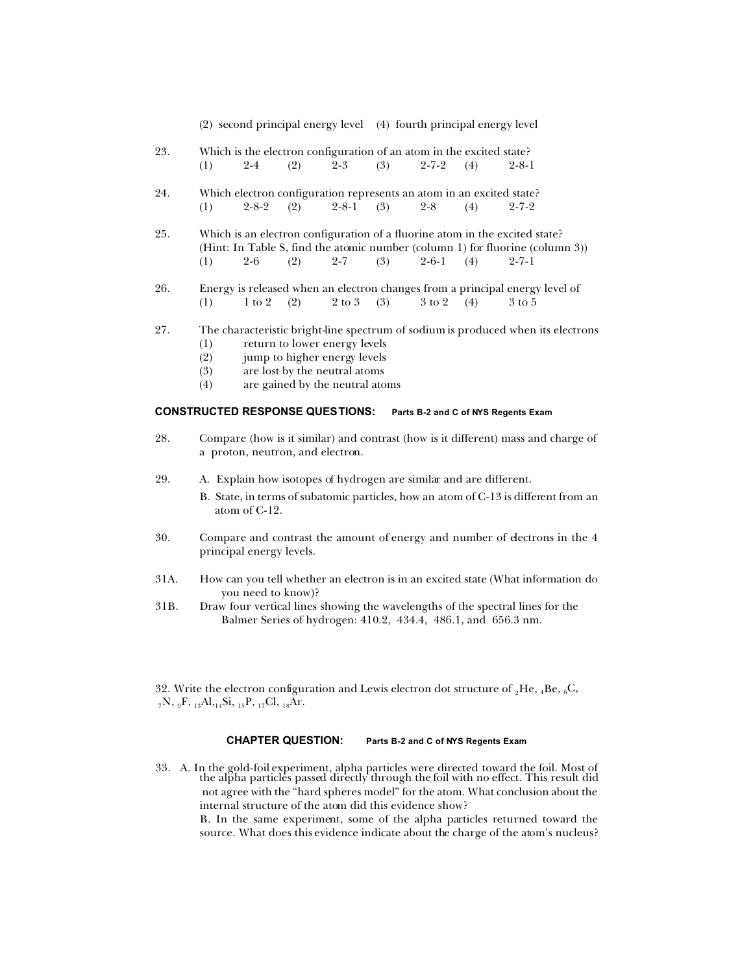(2) second principal energy level (4) fourth principal energy level

- 23. Which is the electron configuration of an atom in the excited state? (1)  $2-4$  (2)  $2-3$  (3)  $2-7-2$  (4)  $2-8-1$
- 24. Which electron configuration represents an atom in an excited state? (1)  $2-8-2$  (2)  $2-8-1$  (3)  $2-8$  (4)  $2-7-2$
- 25. Which is an electron configuration of a fluorine atom in the excited state? (Hint: In Table S, find the atomic number (column 1) for fluorine (column 3))  $(1)$  2-6  $(2)$  2-7  $(3)$  2-6-1  $(4)$  2-7-1
- 26. Energy is released when an electron changes from a principal energy level of (1)  $\frac{1 \text{ to } 2}{2 \text{ to } 3}$  (3)  $\frac{3 \text{ to } 2}{2 \text{ to } 4}$  (4)  $\frac{3 \text{ to } 5}{2 \text{ to } 5}$ (1)  $1 \text{ to } 2 \text{ (2)}$   $2 \text{ to } 3 \text{ (3)}$   $3 \text{ to } 2 \text{ (4)}$   $3 \text{ to } 5$
- 27. The characteristic bright-line spectrum of sodium is produced when its electrons
	- (1) return to lower energy levels
	- (2) jump to higher energy levels
	- (3) are lost by the neutral atoms
	- (4) are gained by the neutral atoms

## **CONSTRUCTED RESPONSE QUESTIONS: Parts B-2 and C of NYS Regents Exam**

- 28. Compare (how is it similar) and contrast (how is it different) mass and charge of a proton, neutron, and electron.
- 29. A. Explain how isotopes of hydrogen are similar and are different.
	- B. State, in terms of subatomic particles, how an atom of C-13 is different from an atom of C-12.
- 30. Compare and contrast the amount of energy and number of electrons in the 4 principal energy levels.
- 31A. How can you tell whether an electron is in an excited state (What information do you need to know)?
- 31B. Draw four vertical lines showing the wavelengths of the spectral lines for the Balmer Series of hydrogen: 410.2, 434.4, 486.1, and 656.3 nm.
- 32. Write the electron configuration and Lewis electron dot structure of  ${}_{2}He$ ,  ${}_{4}Be$ ,  ${}_{6}C$ ,  $_{7}N$ ,  $_{9}F$ ,  $_{13}Al$ ,  $_{14}Si$ ,  $_{15}P$ ,  $_{17}Cl$ ,  $_{18}Ar$ .

## **CHAPTER QUESTION: Parts B-2 and C of NYS Regents Exam**

33. A. In the gold-foil experiment, alpha particles were directed toward the foil. Most of the alpha particles passed directly through the foil with no effect. This result did not agree with the "hard spheres model" for the atom. What conclusion about the internal structure of the atom did this evidence show?

B. In the same experiment, some of the alpha particles returned toward the source. What does this evidence indicate about the charge of the atom's nucleus?